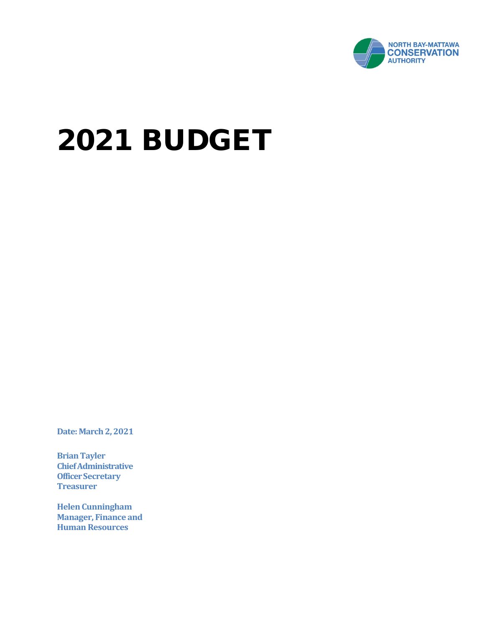

# 2021 BUDGET

**Date: March 2, 2021** 

**Brian Tayler Chief Administrative Officer Secretary Treasurer**

**Helen Cunningham Manager, Finance and Human Resources**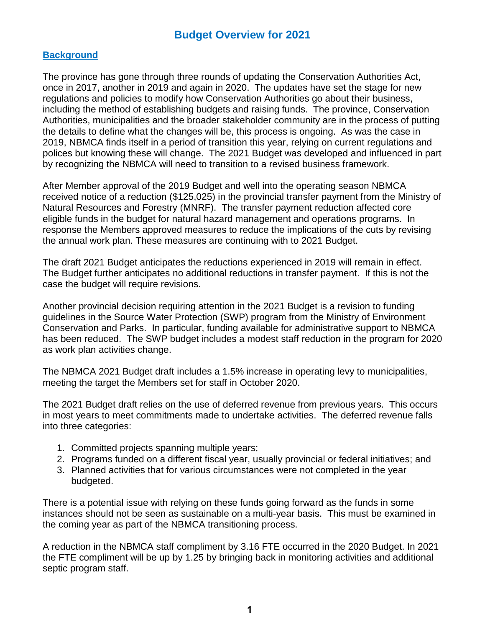#### **Background**

The province has gone through three rounds of updating the Conservation Authorities Act, once in 2017, another in 2019 and again in 2020. The updates have set the stage for new regulations and policies to modify how Conservation Authorities go about their business, including the method of establishing budgets and raising funds. The province, Conservation Authorities, municipalities and the broader stakeholder community are in the process of putting the details to define what the changes will be, this process is ongoing. As was the case in 2019, NBMCA finds itself in a period of transition this year, relying on current regulations and polices but knowing these will change. The 2021 Budget was developed and influenced in part by recognizing the NBMCA will need to transition to a revised business framework.

After Member approval of the 2019 Budget and well into the operating season NBMCA received notice of a reduction (\$125,025) in the provincial transfer payment from the Ministry of Natural Resources and Forestry (MNRF). The transfer payment reduction affected core eligible funds in the budget for natural hazard management and operations programs. In response the Members approved measures to reduce the implications of the cuts by revising the annual work plan. These measures are continuing with to 2021 Budget.

The draft 2021 Budget anticipates the reductions experienced in 2019 will remain in effect. The Budget further anticipates no additional reductions in transfer payment. If this is not the case the budget will require revisions.

Another provincial decision requiring attention in the 2021 Budget is a revision to funding guidelines in the Source Water Protection (SWP) program from the Ministry of Environment Conservation and Parks. In particular, funding available for administrative support to NBMCA has been reduced. The SWP budget includes a modest staff reduction in the program for 2020 as work plan activities change.

The NBMCA 2021 Budget draft includes a 1.5% increase in operating levy to municipalities, meeting the target the Members set for staff in October 2020.

The 2021 Budget draft relies on the use of deferred revenue from previous years. This occurs in most years to meet commitments made to undertake activities. The deferred revenue falls into three categories:

- 1. Committed projects spanning multiple years;
- 2. Programs funded on a different fiscal year, usually provincial or federal initiatives; and
- 3. Planned activities that for various circumstances were not completed in the year budgeted.

There is a potential issue with relying on these funds going forward as the funds in some instances should not be seen as sustainable on a multi-year basis. This must be examined in the coming year as part of the NBMCA transitioning process.

A reduction in the NBMCA staff compliment by 3.16 FTE occurred in the 2020 Budget. In 2021 the FTE compliment will be up by 1.25 by bringing back in monitoring activities and additional septic program staff.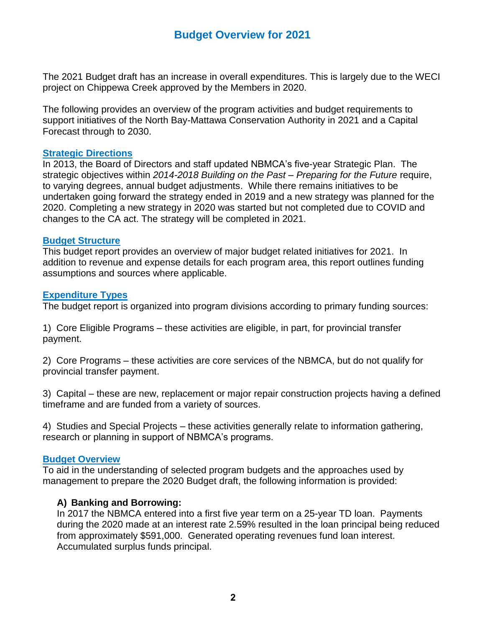The 2021 Budget draft has an increase in overall expenditures. This is largely due to the WECI project on Chippewa Creek approved by the Members in 2020.

The following provides an overview of the program activities and budget requirements to support initiatives of the North Bay-Mattawa Conservation Authority in 2021 and a Capital Forecast through to 2030.

#### **Strategic Directions**

In 2013, the Board of Directors and staff updated NBMCA's five-year Strategic Plan. The strategic objectives within *2014-2018 Building on the Past – Preparing for the Future* require, to varying degrees, annual budget adjustments. While there remains initiatives to be undertaken going forward the strategy ended in 2019 and a new strategy was planned for the 2020. Completing a new strategy in 2020 was started but not completed due to COVID and changes to the CA act. The strategy will be completed in 2021.

#### **Budget Structure**

This budget report provides an overview of major budget related initiatives for 2021. In addition to revenue and expense details for each program area, this report outlines funding assumptions and sources where applicable.

#### **Expenditure Types**

The budget report is organized into program divisions according to primary funding sources:

1) Core Eligible Programs – these activities are eligible, in part, for provincial transfer payment.

2) Core Programs – these activities are core services of the NBMCA, but do not qualify for provincial transfer payment.

3) Capital – these are new, replacement or major repair construction projects having a defined timeframe and are funded from a variety of sources.

4) Studies and Special Projects – these activities generally relate to information gathering, research or planning in support of NBMCA's programs.

#### **Budget Overview**

To aid in the understanding of selected program budgets and the approaches used by management to prepare the 2020 Budget draft, the following information is provided:

#### **A) Banking and Borrowing:**

In 2017 the NBMCA entered into a first five year term on a 25-year TD loan. Payments during the 2020 made at an interest rate 2.59% resulted in the loan principal being reduced from approximately \$591,000. Generated operating revenues fund loan interest. Accumulated surplus funds principal.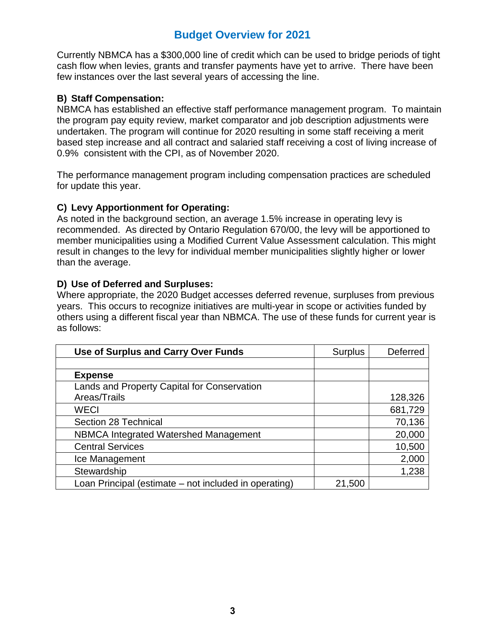Currently NBMCA has a \$300,000 line of credit which can be used to bridge periods of tight cash flow when levies, grants and transfer payments have yet to arrive. There have been few instances over the last several years of accessing the line.

#### **B) Staff Compensation:**

NBMCA has established an effective staff performance management program. To maintain the program pay equity review, market comparator and job description adjustments were undertaken. The program will continue for 2020 resulting in some staff receiving a merit based step increase and all contract and salaried staff receiving a cost of living increase of 0.9% consistent with the CPI, as of November 2020.

The performance management program including compensation practices are scheduled for update this year.

#### **C) Levy Apportionment for Operating:**

As noted in the background section, an average 1.5% increase in operating levy is recommended. As directed by Ontario Regulation 670/00, the levy will be apportioned to member municipalities using a Modified Current Value Assessment calculation. This might result in changes to the levy for individual member municipalities slightly higher or lower than the average.

#### **D) Use of Deferred and Surpluses:**

Where appropriate, the 2020 Budget accesses deferred revenue, surpluses from previous years. This occurs to recognize initiatives are multi-year in scope or activities funded by others using a different fiscal year than NBMCA. The use of these funds for current year is as follows:

| Use of Surplus and Carry Over Funds                   | <b>Surplus</b> | Deferred |
|-------------------------------------------------------|----------------|----------|
|                                                       |                |          |
| <b>Expense</b>                                        |                |          |
| Lands and Property Capital for Conservation           |                |          |
| Areas/Trails                                          |                | 128,326  |
| <b>WECI</b>                                           |                | 681,729  |
| Section 28 Technical                                  |                | 70,136   |
| NBMCA Integrated Watershed Management                 |                | 20,000   |
| <b>Central Services</b>                               |                | 10,500   |
| Ice Management                                        |                | 2,000    |
| Stewardship                                           |                | 1,238    |
| Loan Principal (estimate – not included in operating) | 21,500         |          |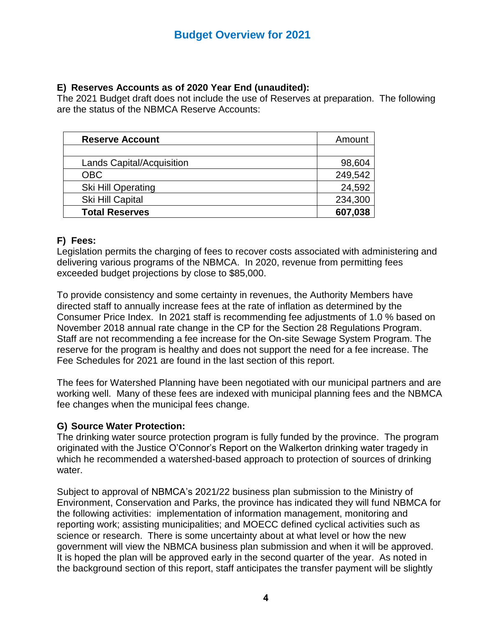#### **E) Reserves Accounts as of 2020 Year End (unaudited):**

The 2021 Budget draft does not include the use of Reserves at preparation. The following are the status of the NBMCA Reserve Accounts:

| <b>Reserve Account</b>           | Amount  |
|----------------------------------|---------|
|                                  |         |
| <b>Lands Capital/Acquisition</b> | 98,604  |
| <b>OBC</b>                       | 249,542 |
| Ski Hill Operating               | 24,592  |
| Ski Hill Capital                 | 234,300 |
| <b>Total Reserves</b>            | 607,038 |

#### **F) Fees:**

Legislation permits the charging of fees to recover costs associated with administering and delivering various programs of the NBMCA. In 2020, revenue from permitting fees exceeded budget projections by close to \$85,000.

To provide consistency and some certainty in revenues, the Authority Members have directed staff to annually increase fees at the rate of inflation as determined by the Consumer Price Index. In 2021 staff is recommending fee adjustments of 1.0 % based on November 2018 annual rate change in the CP for the Section 28 Regulations Program. Staff are not recommending a fee increase for the On-site Sewage System Program. The reserve for the program is healthy and does not support the need for a fee increase. The Fee Schedules for 2021 are found in the last section of this report.

The fees for Watershed Planning have been negotiated with our municipal partners and are working well. Many of these fees are indexed with municipal planning fees and the NBMCA fee changes when the municipal fees change.

#### **G) Source Water Protection:**

The drinking water source protection program is fully funded by the province. The program originated with the Justice O'Connor's Report on the Walkerton drinking water tragedy in which he recommended a watershed-based approach to protection of sources of drinking water.

Subject to approval of NBMCA's 2021/22 business plan submission to the Ministry of Environment, Conservation and Parks, the province has indicated they will fund NBMCA for the following activities: implementation of information management, monitoring and reporting work; assisting municipalities; and MOECC defined cyclical activities such as science or research. There is some uncertainty about at what level or how the new government will view the NBMCA business plan submission and when it will be approved. It is hoped the plan will be approved early in the second quarter of the year. As noted in the background section of this report, staff anticipates the transfer payment will be slightly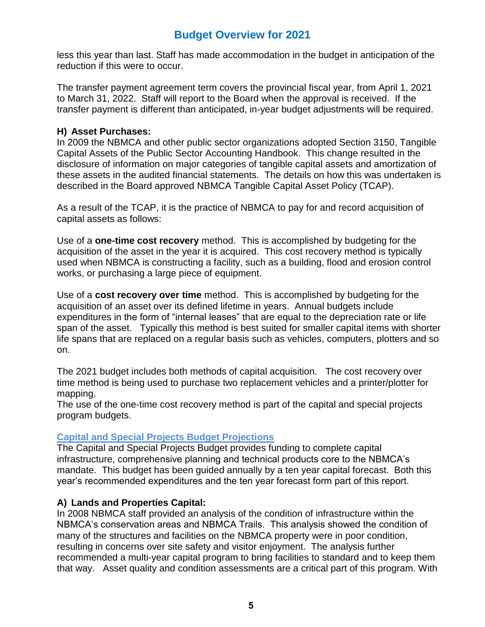less this year than last. Staff has made accommodation in the budget in anticipation of the reduction if this were to occur.

The transfer payment agreement term covers the provincial fiscal year, from April 1, 2021 to March 31, 2022. Staff will report to the Board when the approval is received. If the transfer payment is different than anticipated, in-year budget adjustments will be required.

#### **H) Asset Purchases:**

In 2009 the NBMCA and other public sector organizations adopted Section 3150, Tangible Capital Assets of the Public Sector Accounting Handbook. This change resulted in the disclosure of information on major categories of tangible capital assets and amortization of these assets in the audited financial statements. The details on how this was undertaken is described in the Board approved NBMCA Tangible Capital Asset Policy (TCAP).

As a result of the TCAP, it is the practice of NBMCA to pay for and record acquisition of capital assets as follows:

Use of a **one-time cost recovery** method. This is accomplished by budgeting for the acquisition of the asset in the year it is acquired. This cost recovery method is typically used when NBMCA is constructing a facility, such as a building, flood and erosion control works, or purchasing a large piece of equipment.

Use of a **cost recovery over time** method. This is accomplished by budgeting for the acquisition of an asset over its defined lifetime in years. Annual budgets include expenditures in the form of "internal leases" that are equal to the depreciation rate or life span of the asset. Typically this method is best suited for smaller capital items with shorter life spans that are replaced on a regular basis such as vehicles, computers, plotters and so on.

The 2021 budget includes both methods of capital acquisition. The cost recovery over time method is being used to purchase two replacement vehicles and a printer/plotter for mapping.

The use of the one-time cost recovery method is part of the capital and special projects program budgets.

#### **Capital and Special Projects Budget Projections**

The Capital and Special Projects Budget provides funding to complete capital infrastructure, comprehensive planning and technical products core to the NBMCA's mandate. This budget has been guided annually by a ten year capital forecast. Both this year's recommended expenditures and the ten year forecast form part of this report.

#### **A) Lands and Properties Capital:**

In 2008 NBMCA staff provided an analysis of the condition of infrastructure within the NBMCA's conservation areas and NBMCA Trails. This analysis showed the condition of many of the structures and facilities on the NBMCA property were in poor condition, resulting in concerns over site safety and visitor enjoyment. The analysis further recommended a multi-year capital program to bring facilities to standard and to keep them that way. Asset quality and condition assessments are a critical part of this program. With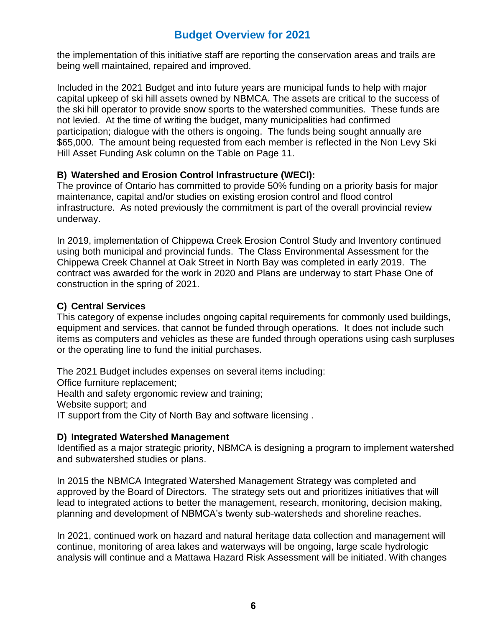the implementation of this initiative staff are reporting the conservation areas and trails are being well maintained, repaired and improved.

Included in the 2021 Budget and into future years are municipal funds to help with major capital upkeep of ski hill assets owned by NBMCA. The assets are critical to the success of the ski hill operator to provide snow sports to the watershed communities. These funds are not levied. At the time of writing the budget, many municipalities had confirmed participation; dialogue with the others is ongoing. The funds being sought annually are \$65,000. The amount being requested from each member is reflected in the Non Levy Ski Hill Asset Funding Ask column on the Table on Page 11.

#### **B) Watershed and Erosion Control Infrastructure (WECI):**

The province of Ontario has committed to provide 50% funding on a priority basis for major maintenance, capital and/or studies on existing erosion control and flood control infrastructure. As noted previously the commitment is part of the overall provincial review underway.

In 2019, implementation of Chippewa Creek Erosion Control Study and Inventory continued using both municipal and provincial funds. The Class Environmental Assessment for the Chippewa Creek Channel at Oak Street in North Bay was completed in early 2019. The contract was awarded for the work in 2020 and Plans are underway to start Phase One of construction in the spring of 2021.

#### **C) Central Services**

This category of expense includes ongoing capital requirements for commonly used buildings, equipment and services. that cannot be funded through operations. It does not include such items as computers and vehicles as these are funded through operations using cash surpluses or the operating line to fund the initial purchases.

The 2021 Budget includes expenses on several items including:

Office furniture replacement;

Health and safety ergonomic review and training;

Website support; and

IT support from the City of North Bay and software licensing .

#### **D) Integrated Watershed Management**

Identified as a major strategic priority, NBMCA is designing a program to implement watershed and subwatershed studies or plans.

In 2015 the NBMCA Integrated Watershed Management Strategy was completed and approved by the Board of Directors. The strategy sets out and prioritizes initiatives that will lead to integrated actions to better the management, research, monitoring, decision making, planning and development of NBMCA's twenty sub-watersheds and shoreline reaches.

In 2021, continued work on hazard and natural heritage data collection and management will continue, monitoring of area lakes and waterways will be ongoing, large scale hydrologic analysis will continue and a Mattawa Hazard Risk Assessment will be initiated. With changes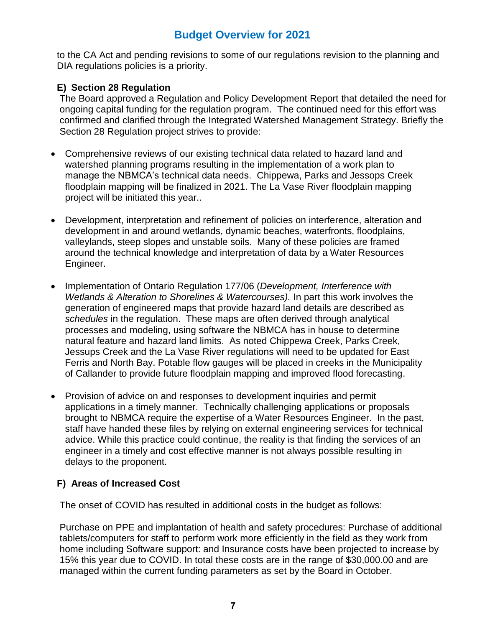to the CA Act and pending revisions to some of our regulations revision to the planning and DIA regulations policies is a priority.

#### **E) Section 28 Regulation**

The Board approved a Regulation and Policy Development Report that detailed the need for ongoing capital funding for the regulation program. The continued need for this effort was confirmed and clarified through the Integrated Watershed Management Strategy. Briefly the Section 28 Regulation project strives to provide:

- Comprehensive reviews of our existing technical data related to hazard land and watershed planning programs resulting in the implementation of a work plan to manage the NBMCA's technical data needs. Chippewa, Parks and Jessops Creek floodplain mapping will be finalized in 2021. The La Vase River floodplain mapping project will be initiated this year..
- Development, interpretation and refinement of policies on interference, alteration and development in and around wetlands, dynamic beaches, waterfronts, floodplains, valleylands, steep slopes and unstable soils. Many of these policies are framed around the technical knowledge and interpretation of data by a Water Resources Engineer.
- Implementation of Ontario Regulation 177/06 (*Development, Interference with Wetlands & Alteration to Shorelines & Watercourses).* In part this work involves the generation of engineered maps that provide hazard land details are described as *schedules* in the regulation. These maps are often derived through analytical processes and modeling, using software the NBMCA has in house to determine natural feature and hazard land limits. As noted Chippewa Creek, Parks Creek, Jessups Creek and the La Vase River regulations will need to be updated for East Ferris and North Bay. Potable flow gauges will be placed in creeks in the Municipality of Callander to provide future floodplain mapping and improved flood forecasting.
- Provision of advice on and responses to development inquiries and permit applications in a timely manner. Technically challenging applications or proposals brought to NBMCA require the expertise of a Water Resources Engineer. In the past, staff have handed these files by relying on external engineering services for technical advice. While this practice could continue, the reality is that finding the services of an engineer in a timely and cost effective manner is not always possible resulting in delays to the proponent.

#### **F) Areas of Increased Cost**

The onset of COVID has resulted in additional costs in the budget as follows:

Purchase on PPE and implantation of health and safety procedures: Purchase of additional tablets/computers for staff to perform work more efficiently in the field as they work from home including Software support: and Insurance costs have been projected to increase by 15% this year due to COVID. In total these costs are in the range of \$30,000.00 and are managed within the current funding parameters as set by the Board in October.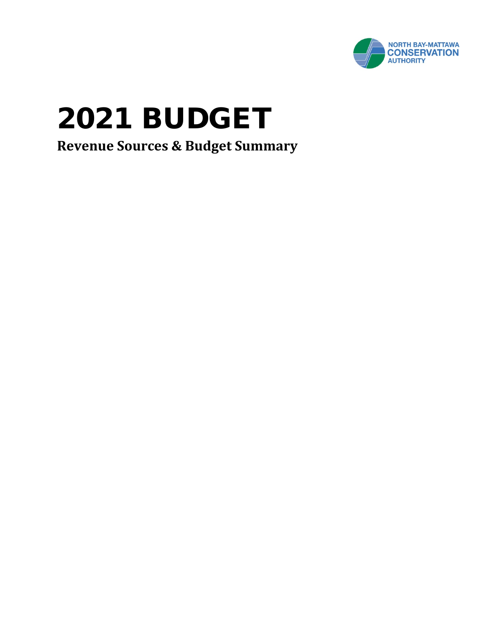

# 2021 BUDGET

**Revenue Sources & Budget Summary**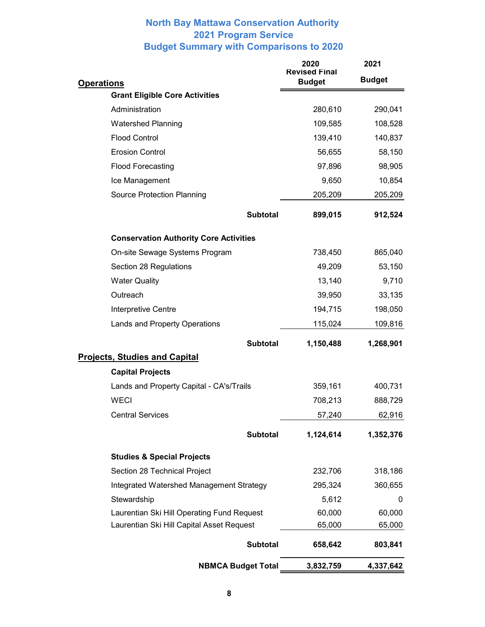#### **North Bay Mattawa Conservation Authority 2021 Program Service Budget Summary with Comparisons to 2020**

|                                               | 2020<br><b>Revised Final</b> | 2021          |  |  |
|-----------------------------------------------|------------------------------|---------------|--|--|
| <b>Operations</b>                             | <b>Budget</b>                | <b>Budget</b> |  |  |
| <b>Grant Eligible Core Activities</b>         |                              |               |  |  |
| Administration                                | 280,610                      | 290,041       |  |  |
| <b>Watershed Planning</b>                     | 109,585                      | 108,528       |  |  |
| <b>Flood Control</b>                          | 139,410                      | 140,837       |  |  |
| <b>Erosion Control</b>                        | 56,655                       | 58,150        |  |  |
| <b>Flood Forecasting</b>                      | 97,896                       | 98,905        |  |  |
| Ice Management                                | 9,650                        | 10,854        |  |  |
| <b>Source Protection Planning</b>             | 205,209                      | 205,209       |  |  |
| <b>Subtotal</b>                               | 899,015                      | 912,524       |  |  |
| <b>Conservation Authority Core Activities</b> |                              |               |  |  |
| On-site Sewage Systems Program                | 738,450                      | 865,040       |  |  |
| Section 28 Regulations                        | 49,209                       | 53,150        |  |  |
| <b>Water Quality</b>                          | 13,140                       | 9,710         |  |  |
| Outreach                                      | 39,950                       | 33,135        |  |  |
| Interpretive Centre                           | 194,715                      | 198,050       |  |  |
| Lands and Property Operations                 | 115,024                      | 109,816       |  |  |
| <b>Subtotal</b>                               | 1,150,488                    | 1,268,901     |  |  |
| <b>Projects, Studies and Capital</b>          |                              |               |  |  |
| <b>Capital Projects</b>                       |                              |               |  |  |
| Lands and Property Capital - CA's/Trails      | 359,161                      | 400,731       |  |  |
| <b>WECI</b>                                   | 708,213                      | 888,729       |  |  |
| <b>Central Services</b>                       | 57,240                       | 62,916        |  |  |
| <b>Subtotal</b>                               | 1,124,614                    | 1,352,376     |  |  |
| <b>Studies &amp; Special Projects</b>         |                              |               |  |  |
| Section 28 Technical Project                  | 232,706                      | 318,186       |  |  |
| Integrated Watershed Management Strategy      | 295,324                      | 360,655       |  |  |
| Stewardship                                   | 5,612                        | 0             |  |  |
| Laurentian Ski Hill Operating Fund Request    | 60,000                       | 60,000        |  |  |
| Laurentian Ski Hill Capital Asset Request     | 65,000                       | 65,000        |  |  |
| <b>Subtotal</b>                               | 658,642                      | 803,841       |  |  |
| <b>NBMCA Budget Total</b>                     | 3,832,759                    | 4,337,642     |  |  |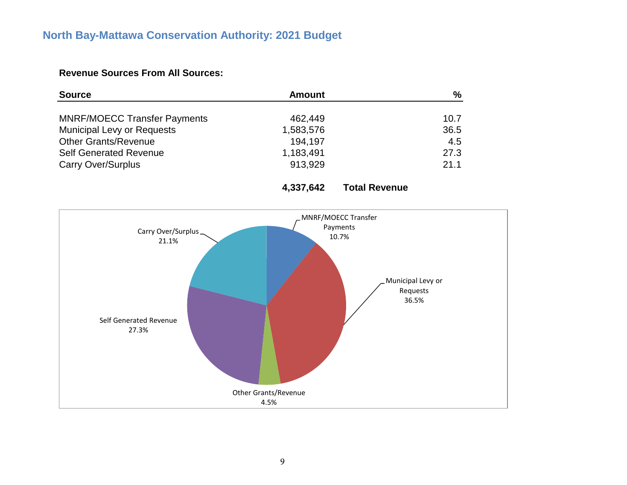# **North Bay-Mattawa Conservation Authority: 2021 Budget**

#### **Revenue Sources From All Sources:**

| <b>Source</b>                       | <b>Amount</b> | %    |
|-------------------------------------|---------------|------|
|                                     |               |      |
| <b>MNRF/MOECC Transfer Payments</b> | 462,449       | 10.7 |
| <b>Municipal Levy or Requests</b>   | 1,583,576     | 36.5 |
| <b>Other Grants/Revenue</b>         | 194,197       | 4.5  |
| <b>Self Generated Revenue</b>       | 1,183,491     | 27.3 |
| <b>Carry Over/Surplus</b>           | 913.929       | 21.1 |

**4,337,642 Total Revenue**

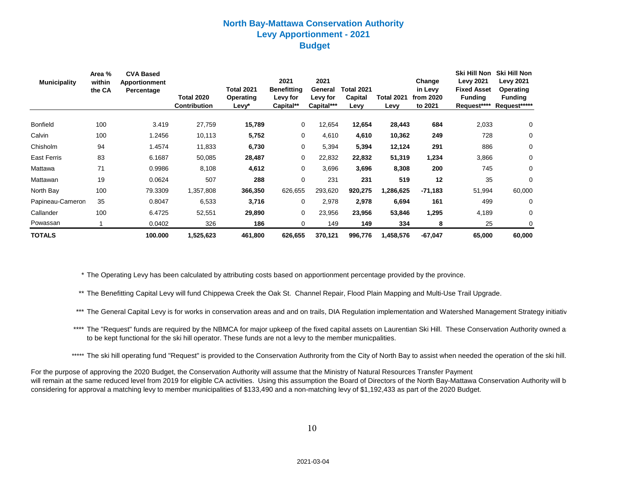#### **North Bay-Mattawa Conservation Authority Levy Apportionment - 2021 Budget**

| <b>Municipality</b> | Area %<br>within<br>the CA | <b>CVA Based</b><br><b>Apportionment</b><br>Percentage | <b>Total 2020</b><br><b>Contribution</b> | <b>Total 2021</b><br>Operating<br>Levy* | 2021<br><b>Benefitting</b><br>Levy for<br>Capital** | 2021<br>General<br>Levy for<br>Capital*** | Total 2021<br>Capital<br>Levy | <b>Total 2021</b><br>Levy | Change<br>in Levy<br>from 2020<br>to 2021 | <b>Ski Hill Non</b><br><b>Levy 2021</b><br><b>Fixed Asset</b><br><b>Funding</b><br>Request**** | Ski Hill Non<br><b>Levy 2021</b><br>Operating<br><b>Funding</b><br>Request***** |
|---------------------|----------------------------|--------------------------------------------------------|------------------------------------------|-----------------------------------------|-----------------------------------------------------|-------------------------------------------|-------------------------------|---------------------------|-------------------------------------------|------------------------------------------------------------------------------------------------|---------------------------------------------------------------------------------|
| <b>Bonfield</b>     | 100                        | 3.419                                                  | 27,759                                   | 15,789                                  | 0                                                   | 12,654                                    | 12,654                        | 28,443                    | 684                                       | 2,033                                                                                          | 0                                                                               |
| Calvin              | 100                        | 1.2456                                                 | 10,113                                   | 5,752                                   | 0                                                   | 4,610                                     | 4,610                         | 10,362                    | 249                                       | 728                                                                                            | 0                                                                               |
| Chisholm            | 94                         | 1.4574                                                 | 11,833                                   | 6,730                                   | 0                                                   | 5,394                                     | 5,394                         | 12,124                    | 291                                       | 886                                                                                            | 0                                                                               |
| <b>East Ferris</b>  | 83                         | 6.1687                                                 | 50,085                                   | 28,487                                  | 0                                                   | 22,832                                    | 22,832                        | 51,319                    | 1,234                                     | 3,866                                                                                          | 0                                                                               |
| Mattawa             | 71                         | 0.9986                                                 | 8,108                                    | 4,612                                   | 0                                                   | 3,696                                     | 3,696                         | 8,308                     | 200                                       | 745                                                                                            | 0                                                                               |
| Mattawan            | 19                         | 0.0624                                                 | 507                                      | 288                                     | $\mathbf 0$                                         | 231                                       | 231                           | 519                       | 12                                        | 35                                                                                             | $\mathbf 0$                                                                     |
| North Bay           | 100                        | 79.3309                                                | 1,357,808                                | 366,350                                 | 626,655                                             | 293,620                                   | 920,275                       | 1,286,625                 | $-71,183$                                 | 51,994                                                                                         | 60,000                                                                          |
| Papineau-Cameron    | 35                         | 0.8047                                                 | 6,533                                    | 3,716                                   | 0                                                   | 2,978                                     | 2,978                         | 6,694                     | 161                                       | 499                                                                                            | 0                                                                               |
| Callander           | 100                        | 6.4725                                                 | 52,551                                   | 29,890                                  | 0                                                   | 23,956                                    | 23,956                        | 53,846                    | 1,295                                     | 4,189                                                                                          | 0                                                                               |
| Powassan            |                            | 0.0402                                                 | 326                                      | 186                                     | 0                                                   | 149                                       | 149                           | 334                       | 8                                         | 25                                                                                             | 0                                                                               |
| <b>TOTALS</b>       |                            | 100.000                                                | 1,525,623                                | 461,800                                 | 626,655                                             | 370,121                                   | 996,776                       | 1,458,576                 | $-67,047$                                 | 65,000                                                                                         | 60,000                                                                          |

\* The Operating Levy has been calculated by attributing costs based on apportionment percentage provided by the province.

\*\* The Benefitting Capital Levy will fund Chippewa Creek the Oak St. Channel Repair, Flood Plain Mapping and Multi-Use Trail Upgrade.

- \*\*\* The General Capital Levy is for works in conservation areas and and on trails, DIA Regulation implementation and Watershed Management Strategy initiativ
- \*\*\*\* The "Request" funds are required by the NBMCA for major upkeep of the fixed capital assets on Laurentian Ski Hill. These Conservation Authority owned as to be kept functional for the ski hill operator. These funds are not a levy to the member municpalities.
- \*\*\*\*\* The ski hill operating fund "Request" is provided to the Conservation Authrority from the City of North Bay to assist when needed the operation of the ski hill.

For the purpose of approving the 2020 Budget, the Conservation Authority will assume that the Ministry of Natural Resources Transfer Payment will remain at the same reduced level from 2019 for eligible CA activities. Using this assumption the Board of Directors of the North Bay-Mattawa Conservation Authority will be considering for approval a matching levy to member municipalities of \$133,490 and a non-matching levy of \$1,192,433 as part of the 2020 Budget.

10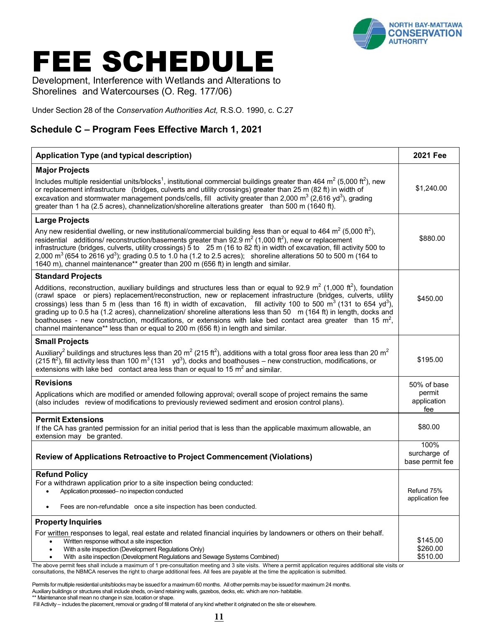

# FEE SCHEDULE

Development, Interference with Wetlands and Alterations to Shorelines and Watercourses (O. Reg. 177/06)

Under Section 28 of the *Conservation Authorities Act,* R.S.O. 1990, c. C.27

### **Schedule C – Program Fees Effective March 1, 2021**

| <b>Application Type (and typical description)</b>                                                                                                                                                                                                                                                                                                                                                                                                                                                                                                                                                                                                                                                                                   | <b>2021 Fee</b>                         |
|-------------------------------------------------------------------------------------------------------------------------------------------------------------------------------------------------------------------------------------------------------------------------------------------------------------------------------------------------------------------------------------------------------------------------------------------------------------------------------------------------------------------------------------------------------------------------------------------------------------------------------------------------------------------------------------------------------------------------------------|-----------------------------------------|
| <b>Major Projects</b>                                                                                                                                                                                                                                                                                                                                                                                                                                                                                                                                                                                                                                                                                                               |                                         |
| Includes multiple residential units/blocks <sup>1</sup> , institutional commercial buildings greater than 464 m <sup>2</sup> (5,000 ft <sup>2</sup> ), new<br>or replacement infrastructure (bridges, culverts and utility crossings) greater than 25 m (82 ft) in width of<br>excavation and stormwater management ponds/cells, fill activity greater than 2,000 $\text{m}^3$ (2,616 yd <sup>3</sup> ), grading<br>greater than 1 ha (2.5 acres), channelization/shoreline alterations greater than 500 m (1640 ft).                                                                                                                                                                                                               | \$1,240.00                              |
| <b>Large Projects</b>                                                                                                                                                                                                                                                                                                                                                                                                                                                                                                                                                                                                                                                                                                               |                                         |
| Any new residential dwelling, or new institutional/commercial building less than or equal to 464 m <sup>2</sup> (5,000 ft <sup>2</sup> ),<br>residential additions/ reconstruction/basements greater than 92.9 $\text{m}^2$ (1,000 ft <sup>2</sup> ), new or replacement<br>infrastructure (bridges, culverts, utility crossings) $\bar{5}$ to 25 m (16 to 82 ft) in width of excavation, fill activity 500 to<br>2,000 m <sup>3</sup> (654 to 2616 yd <sup>3</sup> ); grading 0.5 to 1.0 ha (1.2 to 2.5 acres); shoreline alterations 50 to 500 m (164 to<br>1640 m), channel maintenance** greater than 200 m (656 ft) in length and similar.                                                                                     | \$880.00                                |
| <b>Standard Projects</b>                                                                                                                                                                                                                                                                                                                                                                                                                                                                                                                                                                                                                                                                                                            |                                         |
| Additions, reconstruction, auxiliary buildings and structures less than or equal to 92.9 $m^2$ (1,000 ft <sup>2</sup> ), foundation<br>(crawl space or piers) replacement/reconstruction, new or replacement infrastructure (bridges, culverts, utility<br>crossings) less than 5 m (less than 16 ft) in width of excavation, fill activity 100 to 500 m <sup>3</sup> (131 to 654 yd <sup>3</sup> ),<br>grading up to 0.5 ha (1.2 acres), channelization/ shoreline alterations less than 50 m (164 ft) in length, docks and<br>boathouses - new construction, modifications, or extensions with lake bed contact area greater than 15 $m^2$ ,<br>channel maintenance** less than or equal to 200 m (656 ft) in length and similar. | \$450.00                                |
| <b>Small Projects</b>                                                                                                                                                                                                                                                                                                                                                                                                                                                                                                                                                                                                                                                                                                               |                                         |
| Auxiliary <sup>2</sup> buildings and structures less than 20 m <sup>2</sup> (215 ft <sup>2</sup> ), additions with a total gross floor area less than 20 m <sup>2</sup><br>(215 ft <sup>2</sup> ), fill activity less than 100 m <sup>3</sup> (131 yd <sup>3</sup> ), docks and boathouses – new construction, modifications, or<br>extensions with lake bed contact area less than or equal to 15 $m2$ and similar.                                                                                                                                                                                                                                                                                                                | \$195.00                                |
| <b>Revisions</b>                                                                                                                                                                                                                                                                                                                                                                                                                                                                                                                                                                                                                                                                                                                    | 50% of base                             |
| Applications which are modified or amended following approval; overall scope of project remains the same<br>(also includes review of modifications to previously reviewed sediment and erosion control plans).                                                                                                                                                                                                                                                                                                                                                                                                                                                                                                                      | permit<br>application<br>fee            |
| <b>Permit Extensions</b><br>If the CA has granted permission for an initial period that is less than the applicable maximum allowable, an<br>extension may be granted.                                                                                                                                                                                                                                                                                                                                                                                                                                                                                                                                                              | \$80.00                                 |
| <b>Review of Applications Retroactive to Project Commencement (Violations)</b>                                                                                                                                                                                                                                                                                                                                                                                                                                                                                                                                                                                                                                                      | 100%<br>surcharge of<br>base permit fee |
| <b>Refund Policy</b>                                                                                                                                                                                                                                                                                                                                                                                                                                                                                                                                                                                                                                                                                                                |                                         |
| For a withdrawn application prior to a site inspection being conducted:<br>Application processed- no inspection conducted                                                                                                                                                                                                                                                                                                                                                                                                                                                                                                                                                                                                           | Refund 75%<br>application fee           |
| Fees are non-refundable once a site inspection has been conducted.                                                                                                                                                                                                                                                                                                                                                                                                                                                                                                                                                                                                                                                                  |                                         |
| <b>Property Inquiries</b>                                                                                                                                                                                                                                                                                                                                                                                                                                                                                                                                                                                                                                                                                                           |                                         |
| For written responses to legal, real estate and related financial inquiries by landowners or others on their behalf.<br>Written response without a site inspection<br>With a site inspection (Development Regulations Only)<br>$\bullet$<br>With a site inspection (Development Regulations and Sewage Systems Combined)<br>$\bullet$                                                                                                                                                                                                                                                                                                                                                                                               | \$145.00<br>\$260.00<br>\$510.00        |

 The above permit fees shall include a maximum of 1 pre-consultation meeting and 3 site visits. Where a permit application requires additional site visits or consultations, the NBMCA reserves the right to charge additional fees. All fees are payable at the time the application is submitted.

Permits for multiple residential units/blocks may be issued for a maximum 60 months. All other permits may be issued for maximum 24 months. Auxiliarybuildings or structures shall include sheds, on-land retaining walls, gazebos, decks, etc. which are non- habitable. \*\* Maintenance shall mean no change in size, location or shape.

Fill Activity – includes the placement, removal or grading of fill material of any kind whetherit originated on the site or elsewhere.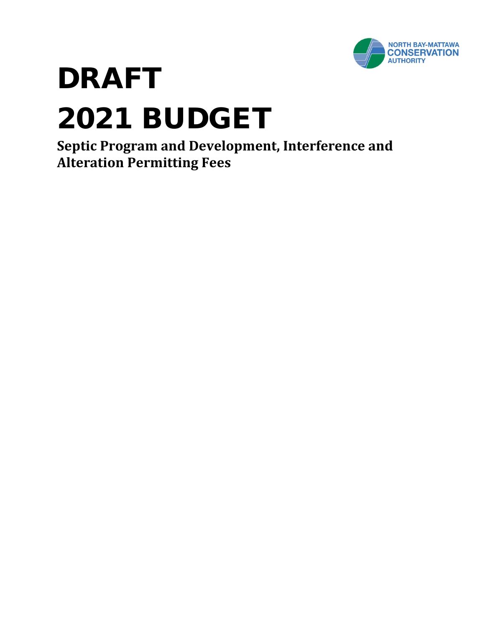

# DRAFT 2021 BUDGET

**Septic Program and Development, Interference and Alteration Permitting Fees**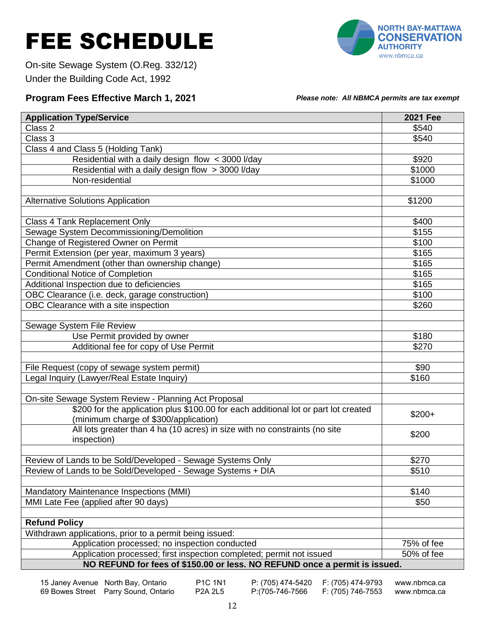# FEE SCHEDULE



On-site Sewage System (O.Reg. 332/12) Under the Building Code Act, 1992

#### **Program Fees Effective March 1, 2021** *Please note: All NBMCA permits are tax exempt*

| <b>Application Type/Service</b>                                                     | <b>2021 Fee</b> |  |  |  |  |
|-------------------------------------------------------------------------------------|-----------------|--|--|--|--|
| Class 2                                                                             | \$540           |  |  |  |  |
| Class 3                                                                             | \$540           |  |  |  |  |
| Class 4 and Class 5 (Holding Tank)                                                  |                 |  |  |  |  |
| Residential with a daily design flow < 3000 l/day                                   | \$920           |  |  |  |  |
| Residential with a daily design flow > 3000 l/day                                   | \$1000          |  |  |  |  |
| Non-residential                                                                     | \$1000          |  |  |  |  |
|                                                                                     |                 |  |  |  |  |
| <b>Alternative Solutions Application</b>                                            | \$1200          |  |  |  |  |
|                                                                                     |                 |  |  |  |  |
| Class 4 Tank Replacement Only                                                       | \$400           |  |  |  |  |
| Sewage System Decommissioning/Demolition                                            | \$155           |  |  |  |  |
| Change of Registered Owner on Permit                                                | \$100           |  |  |  |  |
| Permit Extension (per year, maximum 3 years)                                        | \$165           |  |  |  |  |
| Permit Amendment (other than ownership change)                                      | \$165           |  |  |  |  |
| <b>Conditional Notice of Completion</b>                                             | \$165           |  |  |  |  |
| Additional Inspection due to deficiencies                                           | \$165           |  |  |  |  |
| OBC Clearance (i.e. deck, garage construction)                                      | \$100           |  |  |  |  |
| OBC Clearance with a site inspection                                                | \$260           |  |  |  |  |
|                                                                                     |                 |  |  |  |  |
| Sewage System File Review                                                           |                 |  |  |  |  |
| Use Permit provided by owner                                                        | \$180           |  |  |  |  |
| Additional fee for copy of Use Permit                                               | \$270           |  |  |  |  |
|                                                                                     |                 |  |  |  |  |
| File Request (copy of sewage system permit)                                         | \$90            |  |  |  |  |
| Legal Inquiry (Lawyer/Real Estate Inquiry)                                          | \$160           |  |  |  |  |
|                                                                                     |                 |  |  |  |  |
| On-site Sewage System Review - Planning Act Proposal                                |                 |  |  |  |  |
| \$200 for the application plus \$100.00 for each additional lot or part lot created | $$200+$         |  |  |  |  |
| (minimum charge of \$300/application)                                               |                 |  |  |  |  |
| All lots greater than 4 ha (10 acres) in size with no constraints (no site          | \$200           |  |  |  |  |
| inspection)                                                                         |                 |  |  |  |  |
|                                                                                     |                 |  |  |  |  |
| Review of Lands to be Sold/Developed - Sewage Systems Only                          | \$270           |  |  |  |  |
| Review of Lands to be Sold/Developed - Sewage Systems + DIA                         | \$510           |  |  |  |  |
|                                                                                     |                 |  |  |  |  |
| Mandatory Maintenance Inspections (MMI)                                             | \$140           |  |  |  |  |
| MMI Late Fee (applied after 90 days)                                                | \$50            |  |  |  |  |
|                                                                                     |                 |  |  |  |  |
| <b>Refund Policy</b>                                                                |                 |  |  |  |  |
| Withdrawn applications, prior to a permit being issued:                             | 75% of fee      |  |  |  |  |
| Application processed; no inspection conducted                                      |                 |  |  |  |  |
| Application processed; first inspection completed; permit not issued                | 50% of fee      |  |  |  |  |
| NO REFUND for fees of \$150.00 or less. NO REFUND once a permit is issued.          |                 |  |  |  |  |

15 Janey Avenue North Bay, Ontario P1C 1N1 P: (705) 474-5420 F: (705) 474-9793 [www.nbmca.ca](http://www.nbmca.ca/) 69 Bowes Street Parry Sound, Ontario P2A 2L5 P:(705-746-7566 F: (705) 746-7553 [www.nbmca.ca](http://www.nbmca.ca/)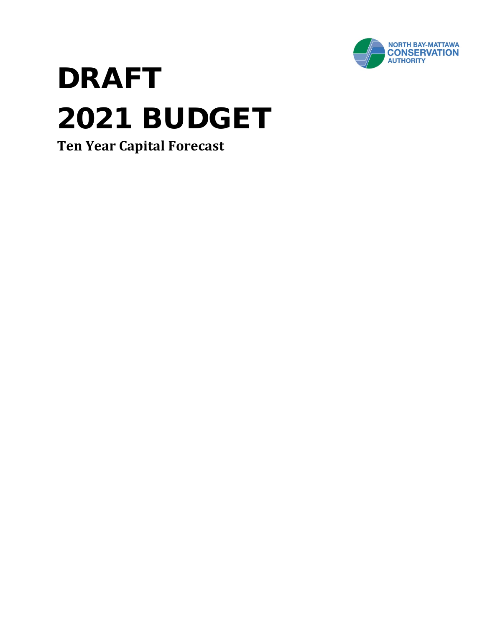

# DRAFT 2021 BUDGET

**Ten Year Capital Forecast**